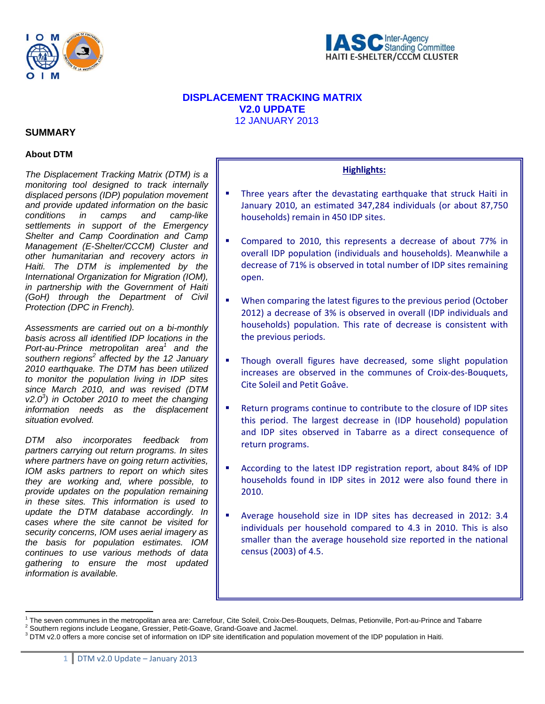



# **DISPLACEMENT TRACKING MATRIX V2.0 UPDATE**  12 JANUARY 2013

# **SUMMARY**

# **About DTM**

*The Displacement Tracking Matrix (DTM) is a monitoring tool designed to track internally displaced persons (IDP) population movement and provide updated information on the basic conditions in camps and camp-like settlements in support of the Emergency Shelter and Camp Coordination and Camp Management (E-Shelter/CCCM) Cluster and other humanitarian and recovery actors in Haiti. The DTM is implemented by the International Organization for Migration (IOM), in partnership with the Government of Haiti (GoH) through the Department of Civil Protection (DPC in French).* 

*Assessments are carried out on a bi-monthly basis across all identified IDP locations in the*  Port-au-Prince metropolitan area<sup>1</sup> and the southern regions<sup>2</sup> affected by the 12 January *2010 earthquake. The DTM has been utilized to monitor the population living in IDP sites since March 2010, and was revised (DTM v2.03 ) in October 2010 to meet the changing information needs as the displacement situation evolved.*

*DTM also incorporates feedback from partners carrying out return programs. In sites where partners have on going return activities, IOM asks partners to report on which sites they are working and, where possible, to provide updates on the population remaining in these sites. This information is used to update the DTM database accordingly. In cases where the site cannot be visited for security concerns, IOM uses aerial imagery as the basis for population estimates. IOM continues to use various methods of data gathering to ensure the most updated information is available.* 

 $\overline{a}$ 

# **Highlights:**

- **Three years after the devastating earthquake that struck Haiti in** January 2010, an estimated 347,284 individuals (or about 87,750 households) remain in 450 IDP sites.
- Compared to 2010, this represents a decrease of about 77% in overall IDP population (individuals and households). Meanwhile a decrease of 71% is observed in total number of IDP sites remaining open.
- When comparing the latest figures to the previous period (October 2012) a decrease of 3% is observed in overall (IDP individuals and households) population. This rate of decrease is consistent with the previous periods.
- Though overall figures have decreased, some slight population increases are observed in the communes of Croix‐des‐Bouquets, Cite Soleil and Petit Goâve.
- Return programs continue to contribute to the closure of IDP sites this period. The largest decrease in (IDP household) population and IDP sites observed in Tabarre as a direct consequence of return programs.
- According to the latest IDP registration report, about 84% of IDP households found in IDP sites in 2012 were also found there in 2010.
- Average household size in IDP sites has decreased in 2012: 3.4 individuals per household compared to 4.3 in 2010. This is also smaller than the average household size reported in the national census (2003) of 4.5.

<sup>&</sup>lt;sup>1</sup> The seven communes in the metropolitan area are: Carrefour, Cite Soleil, Croix-Des-Bouquets, Delmas, Petionville, Port-au-Prince and Tabarre <sup>2</sup><br><sup>2</sup> Seuthers regions include Leggane, Crossier, Petit Ceaus, Croad Ceaus

<sup>&</sup>lt;sup>2</sup> Southern regions include Leogane, Gressier, Petit-Goave, Grand-Goave and Jacmel.

 $3$  DTM v2.0 offers a more concise set of information on IDP site identification and population movement of the IDP population in Haiti.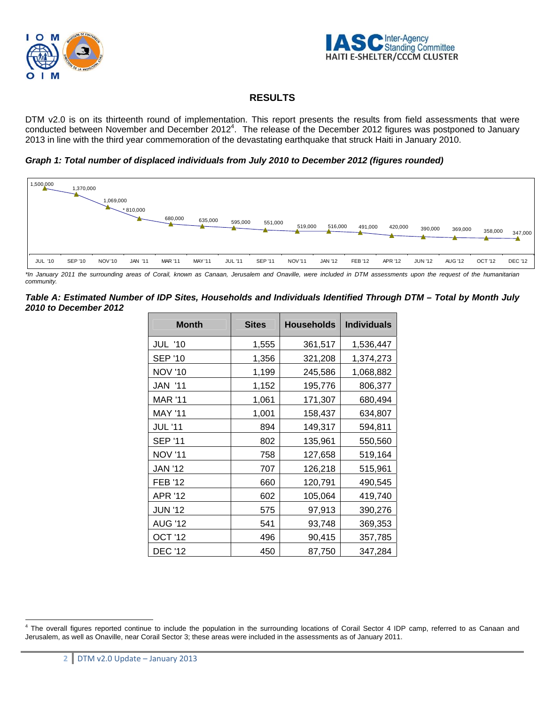



# **RESULTS**

DTM v2.0 is on its thirteenth round of implementation. This report presents the results from field assessments that were conducted between November and December 2012<sup>4</sup>. The release of the December 2012 figures was postponed to January 2013 in line with the third year commemoration of the devastating earthquake that struck Haiti in January 2010.

*Graph 1: Total number of displaced individuals from July 2010 to December 2012 (figures rounded)* 



*\*In January 2011 the surrounding areas of Corail, known as Canaan, Jerusalem and Onaville, were included in DTM assessments upon the request of the humanitarian community.* 

*Table A: Estimated Number of IDP Sites, Households and Individuals Identified Through DTM – Total by Month July 2010 to December 2012* 

| <b>Month</b>   | <b>Sites</b> | <b>Households</b> | <b>Individuals</b> |
|----------------|--------------|-------------------|--------------------|
| <b>JUL '10</b> | 1,555        | 361,517           | 1,536,447          |
| <b>SEP '10</b> | 1,356        | 321,208           | 1,374,273          |
| <b>NOV '10</b> | 1,199        | 245,586           | 1,068,882          |
| <b>JAN '11</b> | 1,152        | 195,776           | 806,377            |
| MAR '11        | 1,061        | 171,307           | 680,494            |
| <b>MAY '11</b> | 1,001        | 158,437           | 634,807            |
| <b>JUL '11</b> | 894          | 149,317           | 594,811            |
| <b>SEP '11</b> | 802          | 135,961           | 550,560            |
| <b>NOV '11</b> | 758          | 127,658           | 519,164            |
| <b>JAN '12</b> | 707          | 126,218           | 515,961            |
| <b>FEB '12</b> | 660          | 120,791           | 490,545            |
| APR '12        | 602          | 105,064           | 419,740            |
| <b>JUN '12</b> | 575          | 97,913            | 390,276            |
| <b>AUG '12</b> | 541          | 93,748            | 369,353            |
| OCT '12        | 496          | 90,415            | 357,785            |
| <b>DEC '12</b> | 450          | 87,750            | 347,284            |

 $\overline{a}$ <sup>4</sup> The overall figures reported continue to include the population in the surrounding locations of Corail Sector 4 IDP camp, referred to as Canaan and Jerusalem, as well as Onaville, near Corail Sector 3; these areas were included in the assessments as of January 2011.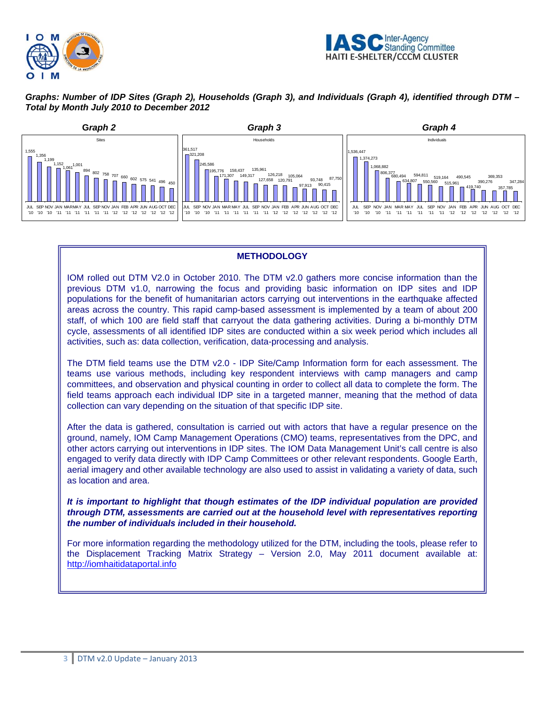



*Graphs: Number of IDP Sites (Graph 2), Households (Graph 3), and Individuals (Graph 4), identified through DTM – Total by Month July 2010 to December 2012* 



# **METHODOLOGY**

IOM rolled out DTM V2.0 in October 2010. The DTM v2.0 gathers more concise information than the previous DTM v1.0, narrowing the focus and providing basic information on IDP sites and IDP populations for the benefit of humanitarian actors carrying out interventions in the earthquake affected areas across the country. This rapid camp-based assessment is implemented by a team of about 200 staff, of which 100 are field staff that carryout the data gathering activities. During a bi-monthly DTM cycle, assessments of all identified IDP sites are conducted within a six week period which includes all activities, such as: data collection, verification, data-processing and analysis.

The DTM field teams use the DTM v2.0 - IDP Site/Camp Information form for each assessment. The teams use various methods, including key respondent interviews with camp managers and camp committees, and observation and physical counting in order to collect all data to complete the form. The field teams approach each individual IDP site in a targeted manner, meaning that the method of data collection can vary depending on the situation of that specific IDP site.

After the data is gathered, consultation is carried out with actors that have a regular presence on the ground, namely, IOM Camp Management Operations (CMO) teams, representatives from the DPC, and other actors carrying out interventions in IDP sites. The IOM Data Management Unit's call centre is also engaged to verify data directly with IDP Camp Committees or other relevant respondents. Google Earth, aerial imagery and other available technology are also used to assist in validating a variety of data, such as location and area.

*It is important to highlight that though estimates of the IDP individual population are provided through DTM, assessments are carried out at the household level with representatives reporting the number of individuals included in their household.* 

For more information regarding the methodology utilized for the DTM, including the tools, please refer to the Displacement Tracking Matrix Strategy – Version 2.0, May 2011 document available at: http://iomhaitidataportal.info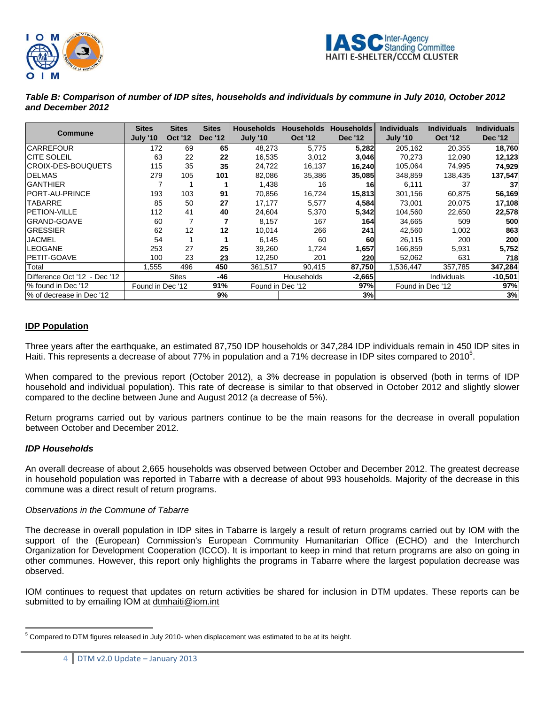



*Table B: Comparison of number of IDP sites, households and individuals by commune in July 2010, October 2012 and December 2012* 

| Commune                      | <b>Sites</b><br><b>July '10</b> | <b>Sites</b><br><b>Oct '12</b> | <b>Sites</b><br><b>Dec '12</b> | <b>Households</b><br><b>July '10</b> | <b>Households</b><br><b>Oct '12</b> | <b>Households</b><br><b>Dec '12</b> | <b>Individuals</b><br><b>July '10</b> | <b>Individuals</b><br><b>Oct '12</b> | <b>Individuals</b><br><b>Dec '12</b> |
|------------------------------|---------------------------------|--------------------------------|--------------------------------|--------------------------------------|-------------------------------------|-------------------------------------|---------------------------------------|--------------------------------------|--------------------------------------|
| <b>CARREFOUR</b>             | 172                             | 69                             | 65I                            | 48,273                               | 5,775                               | 5,282                               | 205,162                               | 20,355                               | 18,760                               |
| <b>CITE SOLEIL</b>           | 63                              | 22                             | 22                             | 16,535                               | 3,012                               | 3,046                               | 70,273                                | 12,090                               | 12,123                               |
| CROIX-DES-BOUQUETS           | 115                             | 35                             | 35                             | 24,722                               | 16,137                              | 16,240                              | 105,064                               | 74,995                               | 74,929                               |
| <b>IDELMAS</b>               | 279                             | 105                            | 101                            | 82,086                               | 35,386                              | 35,085                              | 348,859                               | 138,435                              | 137,547                              |
| <b>GANTHIER</b>              |                                 |                                |                                | 1,438                                | 16                                  | 16                                  | 6,111                                 | 37                                   | 37                                   |
| PORT-AU-PRINCE               | 193                             | 103                            | 91                             | 70,856                               | 16,724                              | 15,813                              | 301,156                               | 60,875                               | 56,169                               |
| <b>TABARRE</b>               | 85                              | 50                             | 27                             | 17,177                               | 5,577                               | 4,584                               | 73.001                                | 20,075                               | 17,108                               |
| <b>PETION-VILLE</b>          | 112                             | 41                             | 40                             | 24,604                               | 5,370                               | 5,342                               | 104,560                               | 22,650                               | 22,578                               |
| <b>GRAND-GOAVE</b>           | 60                              |                                |                                | 8,157                                | 167                                 | 164I                                | 34,665                                | 509                                  | 500                                  |
| <b>GRESSIER</b>              | 62                              | 12                             | 12                             | 10,014                               | 266                                 | 241                                 | 42.560                                | 1,002                                | 863                                  |
| JACMEL                       | 54                              |                                |                                | 6,145                                | 60                                  | 60                                  | 26,115                                | 200                                  | 200                                  |
| <b>LEOGANE</b>               | 253                             | 27                             | 25                             | 39,260                               | 1,724                               | 1,657                               | 166,859                               | 5,931                                | 5,752                                |
| PETIT-GOAVE                  | 100                             | 23                             | 23                             | 12,250                               | 201                                 | 220                                 | 52,062                                | 631                                  | 718                                  |
| Total                        | 1,555                           | 496                            | <b>450</b>                     | 361.517                              | 90,415                              | 87,750                              | 1,536,447                             | 357,785                              | 347,284                              |
| Difference Oct '12 - Dec '12 |                                 | <b>Sites</b>                   | -461                           |                                      | <b>Households</b>                   | $-2,665$                            |                                       | <b>Individuals</b>                   | $-10,501$                            |
| % found in Dec '12           | Found in Dec '12                |                                | 91%                            | Found in Dec '12                     |                                     | 97%                                 | Found in Dec '12                      |                                      | 97%                                  |
| % of decrease in Dec '12     |                                 |                                | 9%                             |                                      |                                     | 3%                                  |                                       |                                      | 3%                                   |

# **IDP Population**

Three years after the earthquake, an estimated 87,750 IDP households or 347,284 IDP individuals remain in 450 IDP sites in Haiti. This represents a decrease of about 77% in population and a 71% decrease in IDP sites compared to 2010<sup>5</sup>.

When compared to the previous report (October 2012), a 3% decrease in population is observed (both in terms of IDP household and individual population). This rate of decrease is similar to that observed in October 2012 and slightly slower compared to the decline between June and August 2012 (a decrease of 5%).

Return programs carried out by various partners continue to be the main reasons for the decrease in overall population between October and December 2012.

#### *IDP Households*

An overall decrease of about 2,665 households was observed between October and December 2012. The greatest decrease in household population was reported in Tabarre with a decrease of about 993 households. Majority of the decrease in this commune was a direct result of return programs.

#### *Observations in the Commune of Tabarre*

The decrease in overall population in IDP sites in Tabarre is largely a result of return programs carried out by IOM with the support of the (European) Commission's European Community Humanitarian Office (ECHO) and the Interchurch Organization for Development Cooperation (ICCO). It is important to keep in mind that return programs are also on going in other communes. However, this report only highlights the programs in Tabarre where the largest population decrease was observed.

IOM continues to request that updates on return activities be shared for inclusion in DTM updates. These reports can be submitted to by emailing IOM at dtmhaiti@iom.int

 $\overline{a}$  $5$  Compared to DTM figures released in July 2010- when displacement was estimated to be at its height.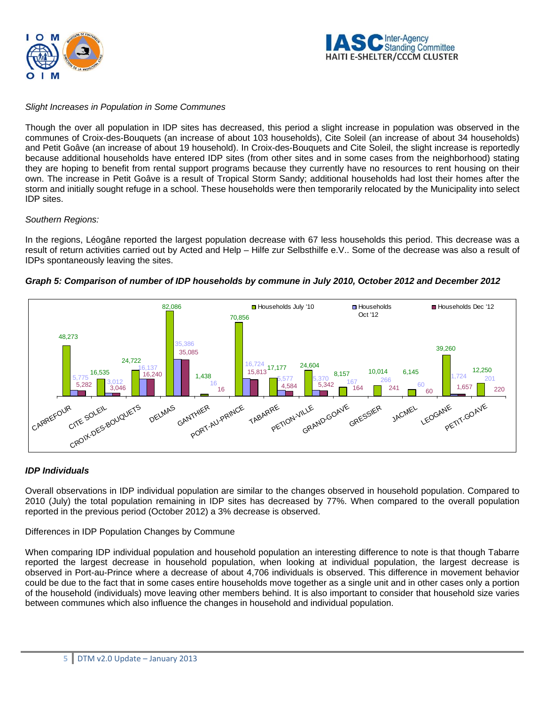



# *Slight Increases in Population in Some Communes*

Though the over all population in IDP sites has decreased, this period a slight increase in population was observed in the communes of Croix-des-Bouquets (an increase of about 103 households), Cite Soleil (an increase of about 34 households) and Petit Goâve (an increase of about 19 household). In Croix-des-Bouquets and Cite Soleil, the slight increase is reportedly because additional households have entered IDP sites (from other sites and in some cases from the neighborhood) stating they are hoping to benefit from rental support programs because they currently have no resources to rent housing on their own. The increase in Petit Goâve is a result of Tropical Storm Sandy; additional households had lost their homes after the storm and initially sought refuge in a school. These households were then temporarily relocated by the Municipality into select IDP sites.

# *Southern Regions:*

In the regions, Léogâne reported the largest population decrease with 67 less households this period. This decrease was a result of return activities carried out by Acted and Help – Hilfe zur Selbsthilfe e.V.. Some of the decrease was also a result of IDPs spontaneously leaving the sites.





# *IDP Individuals*

Overall observations in IDP individual population are similar to the changes observed in household population. Compared to 2010 (July) the total population remaining in IDP sites has decreased by 77%. When compared to the overall population reported in the previous period (October 2012) a 3% decrease is observed.

Differences in IDP Population Changes by Commune

When comparing IDP individual population and household population an interesting difference to note is that though Tabarre reported the largest decrease in household population, when looking at individual population, the largest decrease is observed in Port-au-Prince where a decrease of about 4,706 individuals is observed. This difference in movement behavior could be due to the fact that in some cases entire households move together as a single unit and in other cases only a portion of the household (individuals) move leaving other members behind. It is also important to consider that household size varies between communes which also influence the changes in household and individual population.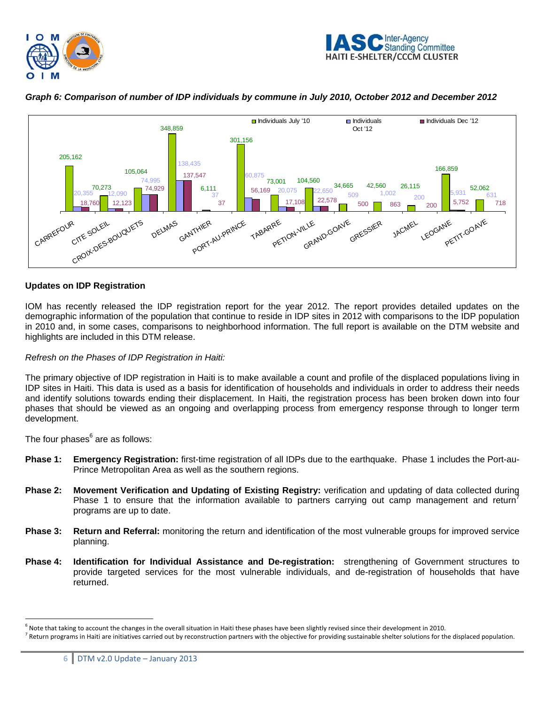





# *Graph 6: Comparison of number of IDP individuals by commune in July 2010, October 2012 and December 2012*

# **Updates on IDP Registration**

IOM has recently released the IDP registration report for the year 2012. The report provides detailed updates on the demographic information of the population that continue to reside in IDP sites in 2012 with comparisons to the IDP population in 2010 and, in some cases, comparisons to neighborhood information. The full report is available on the DTM website and highlights are included in this DTM release.

### *Refresh on the Phases of IDP Registration in Haiti:*

The primary objective of IDP registration in Haiti is to make available a count and profile of the displaced populations living in IDP sites in Haiti. This data is used as a basis for identification of households and individuals in order to address their needs and identify solutions towards ending their displacement. In Haiti, the registration process has been broken down into four phases that should be viewed as an ongoing and overlapping process from emergency response through to longer term development.

The four phases $^6$  are as follows:

 $\overline{a}$ 

- **Phase 1: Emergency Registration:** first-time registration of all IDPs due to the earthquake. Phase 1 includes the Port-au-Prince Metropolitan Area as well as the southern regions.
- **Phase 2: Movement Verification and Updating of Existing Registry:** verification and updating of data collected during Phase 1 to ensure that the information available to partners carrying out camp management and return<sup>7</sup> programs are up to date.
- **Phase 3: Return and Referral:** monitoring the return and identification of the most vulnerable groups for improved service planning.
- **Phase 4: Identification for Individual Assistance and De-registration:** strengthening of Government structures to provide targeted services for the most vulnerable individuals, and de-registration of households that have returned.

<sup>6</sup> Note that taking to account the changes in the overall situation in Haiti these phases have been slightly revised since their development in 2010.

 $^7$  Return programs in Haiti are initiatives carried out by reconstruction partners with the objective for providing sustainable shelter solutions for the displaced population.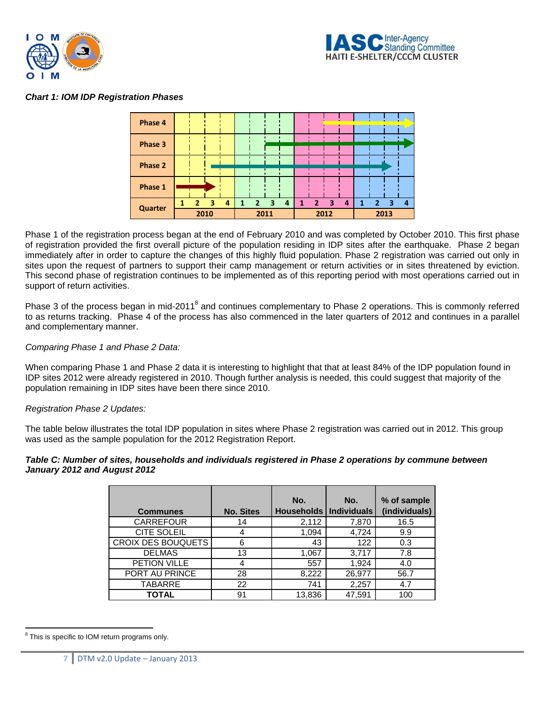



# *Chart 1: IOM IDP Registration Phases*



Phase 1 of the registration process began at the end of February 2010 and was completed by October 2010. This first phase of registration provided the first overall picture of the population residing in IDP sites after the earthquake. Phase 2 began immediately after in order to capture the changes of this highly fluid population. Phase 2 registration was carried out only in sites upon the request of partners to support their camp management or return activities or in sites threatened by eviction. This second phase of registration continues to be implemented as of this reporting period with most operations carried out in support of return activities.

Phase 3 of the process began in mid-2011<sup>8</sup> and continues complementary to Phase 2 operations. This is commonly referred to as returns tracking. Phase 4 of the process has also commenced in the later quarters of 2012 and continues in a parallel and complementary manner.

#### *Comparing Phase 1 and Phase 2 Data:*

When comparing Phase 1 and Phase 2 data it is interesting to highlight that that at least 84% of the IDP population found in IDP sites 2012 were already registered in 2010. Though further analysis is needed, this could suggest that majority of the population remaining in IDP sites have been there since 2010.

#### *Registration Phase 2 Updates:*

The table below illustrates the total IDP population in sites where Phase 2 registration was carried out in 2012. This group was used as the sample population for the 2012 Registration Report.

#### *Table C: Number of sites, households and individuals registered in Phase 2 operations by commune between January 2012 and August 2012*

| <b>Communes</b>    | <b>No. Sites</b> | No.<br>Households   Individuals | No.    | % of sample<br>(individuals) |
|--------------------|------------------|---------------------------------|--------|------------------------------|
| <b>CARREFOUR</b>   | 14               | 2,112                           | 7,870  | 16.5                         |
| <b>CITE SOLEIL</b> | 4                | 1,094                           | 4,724  | 9.9                          |
| CROIX DES BOUQUETS | 6                | 43                              | 122    | 0.3                          |
| <b>DELMAS</b>      | 13               | 1,067                           | 3,717  | 7.8                          |
| PETION VILLE       | 4                | 557                             | 1,924  | 4.0                          |
| PORT AU PRINCE     | 28               | 8,222                           | 26,977 | 56.7                         |
| <b>TABARRE</b>     | 22               | 741                             | 2,257  | 4.7                          |
| <b>TOTAL</b>       | 91               | 13,836                          | 47,591 | 100                          |

 $\overline{a}$ <sup>8</sup> This is specific to IOM return programs only.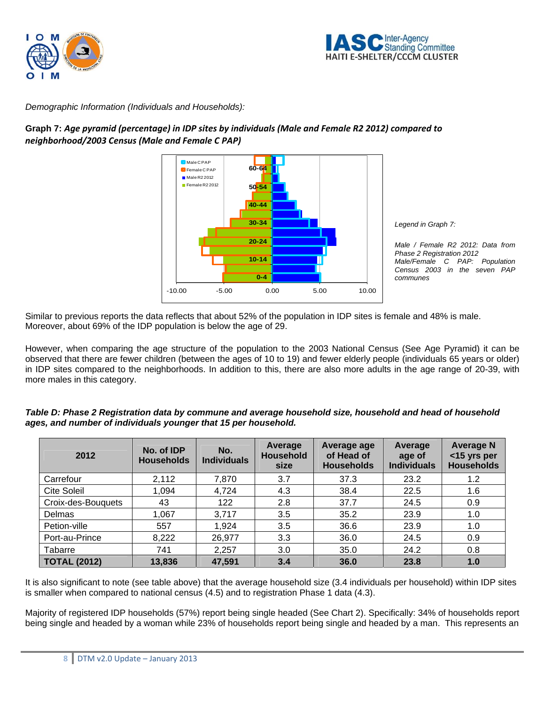



*Demographic Information (Individuals and Households):* 

# **Graph 7:** *Age pyramid (percentage) in IDP sites by individuals (Male and Female R2 2012) compared to neighborhood/2003 Census (Male and Female C PAP)*



*Legend in Graph 7:* 

*Male / Female R2 2012: Data from Phase 2 Registration 2012 Male/Female C PAP: Population Census 2003 in the seven PAP communes* 

Similar to previous reports the data reflects that about 52% of the population in IDP sites is female and 48% is male. Moreover, about 69% of the IDP population is below the age of 29.

However, when comparing the age structure of the population to the 2003 National Census (See Age Pyramid) it can be observed that there are fewer children (between the ages of 10 to 19) and fewer elderly people (individuals 65 years or older) in IDP sites compared to the neighborhoods. In addition to this, there are also more adults in the age range of 20-39, with more males in this category.

| Table D: Phase 2 Registration data by commune and average household size, household and head of household |
|-----------------------------------------------------------------------------------------------------------|
| ages, and number of individuals younger that 15 per household.                                            |

| 2012                | No. of IDP<br><b>Households</b> | No.<br><b>Individuals</b> | Average<br><b>Household</b><br>size | Average age<br>of Head of<br><b>Households</b> | Average<br>age of<br><b>Individuals</b> | <b>Average N</b><br><15 yrs per<br><b>Households</b> |
|---------------------|---------------------------------|---------------------------|-------------------------------------|------------------------------------------------|-----------------------------------------|------------------------------------------------------|
| Carrefour           | 2,112                           | 7,870                     | 3.7                                 | 37.3                                           | 23.2                                    | 1.2                                                  |
| <b>Cite Soleil</b>  | 1,094                           | 4,724                     | 4.3                                 | 38.4                                           | 22.5                                    | 1.6                                                  |
| Croix-des-Bouquets  | 43                              | 122                       | 2.8                                 | 37.7                                           | 24.5                                    | 0.9                                                  |
| Delmas              | 1,067                           | 3,717                     | 3.5                                 | 35.2                                           | 23.9                                    | 1.0                                                  |
| Petion-ville        | 557                             | 1,924                     | 3.5                                 | 36.6                                           | 23.9                                    | 1.0                                                  |
| Port-au-Prince      | 8,222                           | 26,977                    | 3.3                                 | 36.0                                           | 24.5                                    | 0.9                                                  |
| Tabarre             | 741                             | 2,257                     | 3.0                                 | 35.0                                           | 24.2                                    | 0.8                                                  |
| <b>TOTAL (2012)</b> | 13,836                          | 47,591                    | 3.4                                 | 36.0                                           | 23.8                                    | 1.0                                                  |

It is also significant to note (see table above) that the average household size (3.4 individuals per household) within IDP sites is smaller when compared to national census (4.5) and to registration Phase 1 data (4.3).

Majority of registered IDP households (57%) report being single headed (See Chart 2). Specifically: 34% of households report being single and headed by a woman while 23% of households report being single and headed by a man. This represents an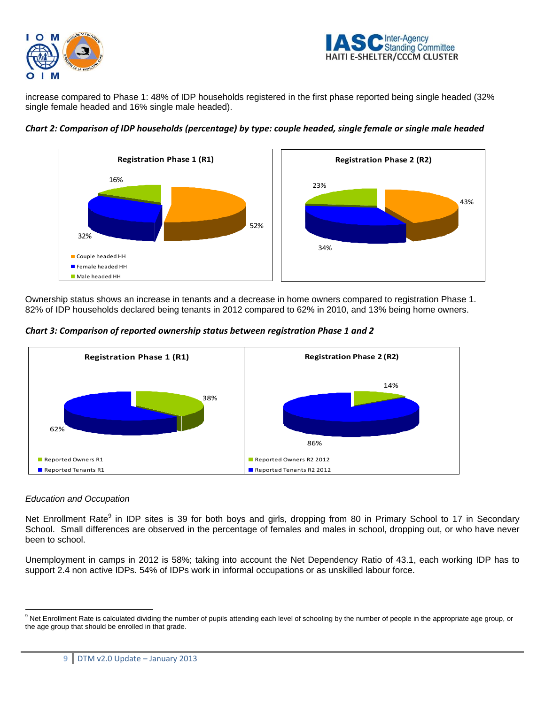



increase compared to Phase 1: 48% of IDP households registered in the first phase reported being single headed (32% single female headed and 16% single male headed).



Chart 2: Comparison of IDP households (percentage) by type: couple headed, single female or single male headed

Ownership status shows an increase in tenants and a decrease in home owners compared to registration Phase 1. 82% of IDP households declared being tenants in 2012 compared to 62% in 2010, and 13% being home owners.

*Chart 3: Comparison of reported ownership status between registration Phase 1 and 2* 



# *Education and Occupation*

 $\overline{a}$ 

Net Enrollment Rate<sup>9</sup> in IDP sites is 39 for both boys and girls, dropping from 80 in Primary School to 17 in Secondary School. Small differences are observed in the percentage of females and males in school, dropping out, or who have never been to school.

Unemployment in camps in 2012 is 58%; taking into account the Net Dependency Ratio of 43.1, each working IDP has to support 2.4 non active IDPs. 54% of IDPs work in informal occupations or as unskilled labour force.

<sup>&</sup>lt;sup>9</sup> Net Enrollment Rate is calculated dividing the number of pupils attending each level of schooling by the number of people in the appropriate age group, or the age group that should be enrolled in that grade.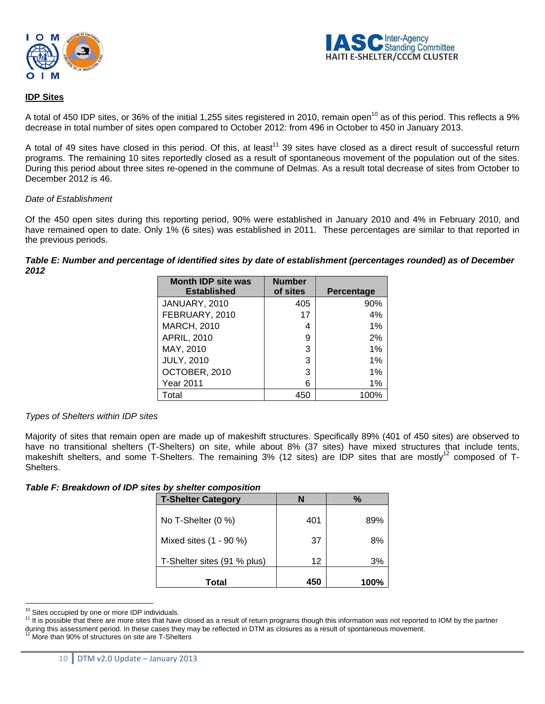



# **IDP Sites**

A total of 450 IDP sites, or 36% of the initial 1,255 sites registered in 2010, remain open<sup>10</sup> as of this period. This reflects a 9% decrease in total number of sites open compared to October 2012: from 496 in October to 450 in January 2013.

A total of 49 sites have closed in this period. Of this, at least<sup>11</sup> 39 sites have closed as a direct result of successful return programs. The remaining 10 sites reportedly closed as a result of spontaneous movement of the population out of the sites. During this period about three sites re-opened in the commune of Delmas. As a result total decrease of sites from October to December 2012 is 46.

#### *Date of Establishment*

Of the 450 open sites during this reporting period, 90% were established in January 2010 and 4% in February 2010, and have remained open to date. Only 1% (6 sites) was established in 2011. These percentages are similar to that reported in the previous periods.

### *Table E: Number and percentage of identified sites by date of establishment (percentages rounded) as of December 2012*

| <b>Month IDP site was</b><br><b>Established</b> | <b>Number</b><br>of sites | Percentage |
|-------------------------------------------------|---------------------------|------------|
| JANUARY, 2010                                   | 405                       | 90%        |
| FEBRUARY, 2010                                  | 17                        | 4%         |
| <b>MARCH, 2010</b>                              | 4                         | 1%         |
| <b>APRIL, 2010</b>                              | 9                         | 2%         |
| MAY, 2010                                       | 3                         | 1%         |
| <b>JULY, 2010</b>                               | 3                         | 1%         |
| OCTOBER, 2010                                   | 3                         | 1%         |
| Year 2011                                       | 6                         | 1%         |
| Total                                           | 450                       | 100%       |

#### *Types of Shelters within IDP sites*

Majority of sites that remain open are made up of makeshift structures. Specifically 89% (401 of 450 sites) are observed to have no transitional shelters (T-Shelters) on site, while about 8% (37 sites) have mixed structures that include tents, makeshift shelters, and some T-Shelters. The remaining 3% (12 sites) are IDP sites that are mostly<sup>12</sup> composed of T-Shelters.

*Table F: Breakdown of IDP sites by shelter composition* 

| <b>T-Shelter Category</b>   | N   | %    |
|-----------------------------|-----|------|
| No T-Shelter (0 %)          | 401 | 89%  |
| Mixed sites (1 - 90 %)      | 37  | 8%   |
| T-Shelter sites (91 % plus) | 12  | 3%   |
| Total                       | 450 | 100% |

<sup>&</sup>lt;sup>10</sup> Sites occupied by one or more IDP individuals.

<sup>&</sup>lt;sup>11</sup> It is possible that there are more sites that have closed as a result of return programs though this information was not reported to IOM by the partner during this assessment period. In these cases they may be reflected in DTM as closures as a result of spontaneous movement.<br><sup>12</sup> More than 90% of structures on site are T-Shelters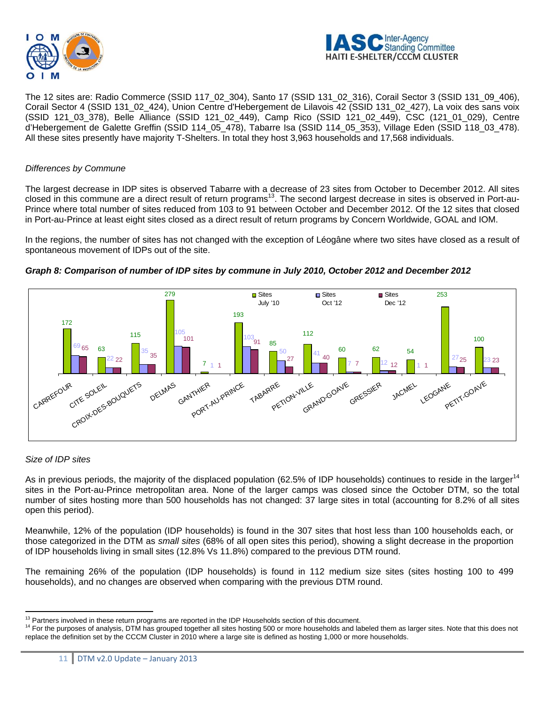



The 12 sites are: Radio Commerce (SSID 117\_02\_304), Santo 17 (SSID 131\_02\_316), Corail Sector 3 (SSID 131\_09\_406), Corail Sector 4 (SSID 131\_02\_424), Union Centre d'Hebergement de Lilavois 42 (SSID 131\_02\_427), La voix des sans voix (SSID 121\_03\_378), Belle Alliance (SSID 121\_02\_449), Camp Rico (SSID 121\_02\_449), CSC (121\_01\_029), Centre d'Hebergement de Galette Greffin (SSID 114\_05\_478), Tabarre Isa (SSID 114\_05\_353), Village Eden (SSID 118\_03\_478). All these sites presently have majority T-Shelters. In total they host 3,963 households and 17,568 individuals.

### *Differences by Commune*

The largest decrease in IDP sites is observed Tabarre with a decrease of 23 sites from October to December 2012. All sites closed in this commune are a direct result of return programs<sup>13</sup>. The second largest decrease in sites is observed in Port-au-Prince where total number of sites reduced from 103 to 91 between October and December 2012. Of the 12 sites that closed in Port-au-Prince at least eight sites closed as a direct result of return programs by Concern Worldwide, GOAL and IOM.

In the regions, the number of sites has not changed with the exception of Léogâne where two sites have closed as a result of spontaneous movement of IDPs out of the site.



*Graph 8: Comparison of number of IDP sites by commune in July 2010, October 2012 and December 2012* 

# *Size of IDP sites*

As in previous periods, the majority of the displaced population (62.5% of IDP households) continues to reside in the larger<sup>14</sup> sites in the Port-au-Prince metropolitan area. None of the larger camps was closed since the October DTM, so the total number of sites hosting more than 500 households has not changed: 37 large sites in total (accounting for 8.2% of all sites open this period).

Meanwhile, 12% of the population (IDP households) is found in the 307 sites that host less than 100 households each, or those categorized in the DTM as *small sites* (68% of all open sites this period), showing a slight decrease in the proportion of IDP households living in small sites (12.8% Vs 11.8%) compared to the previous DTM round.

The remaining 26% of the population (IDP households) is found in 112 medium size sites (sites hosting 100 to 499 households), and no changes are observed when comparing with the previous DTM round.

<sup>&</sup>lt;sup>13</sup> Partners involved in these return programs are reported in the IDP Households section of this document.

<sup>&</sup>lt;sup>14</sup> For the purposes of analysis, DTM has grouped together all sites hosting 500 or more households and labeled them as larger sites. Note that this does not replace the definition set by the CCCM Cluster in 2010 where a large site is defined as hosting 1,000 or more households.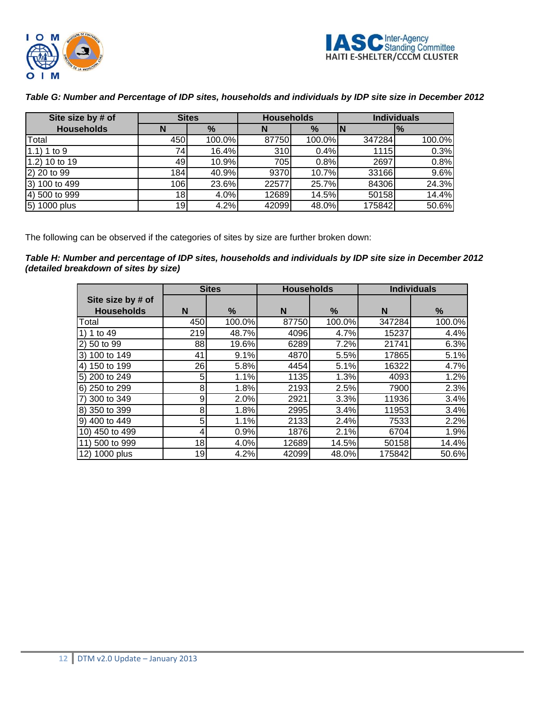



| Site size by # of | <b>Sites</b> |        | <b>Households</b> |               | <b>Individuals</b> |                             |
|-------------------|--------------|--------|-------------------|---------------|--------------------|-----------------------------|
| <b>Households</b> | N            | $\%$   | N                 | $\frac{9}{6}$ |                    | $\mathbf{I}^{\prime\prime}$ |
| Total             | 450          | 100.0% | 87750             | 100.0%        | 347284             | 100.0%                      |
| 1.1) 1 to 9       | 741          | 16.4%  | 310               | 0.4%          | 1115               | 0.3%                        |
| 1.2) 10 to 19     | 491          | 10.9%  | 705               | 0.8%          | 2697               | 0.8%                        |
| 2) 20 to 99       | 184I         | 40.9%  | 9370              | 10.7%         | 33166              | 9.6%                        |
| 3) 100 to 499     | 106          | 23.6%  | 22577             | 25.7%         | 84306              | 24.3%                       |
| 4) 500 to 999     | 18           | 4.0%   | 12689             | 14.5%         | 50158              | 14.4%                       |
| 5) 1000 plus      | 19I          | 4.2%   | 42099             | 48.0%         | 175842             | 50.6%                       |

# *Table G: Number and Percentage of IDP sites, households and individuals by IDP site size in December 2012*

The following can be observed if the categories of sites by size are further broken down:

*Table H: Number and percentage of IDP sites, households and individuals by IDP site size in December 2012 (detailed breakdown of sites by size)* 

|                   | <b>Sites</b> |        | <b>Households</b> |        | <b>Individuals</b> |        |
|-------------------|--------------|--------|-------------------|--------|--------------------|--------|
| Site size by # of |              |        |                   |        |                    |        |
| <b>Households</b> | N            | %      | N                 | $\%$   | N                  | %      |
| Total             | 450          | 100.0% | 87750             | 100.0% | 347284             | 100.0% |
| 1) 1 to 49        | 219          | 48.7%  | 4096              | 4.7%   | 15237              | 4.4%   |
| 2) 50 to 99       | 88           | 19.6%  | 6289              | 7.2%   | 21741              | 6.3%   |
| 3) 100 to 149     | 41           | 9.1%   | 4870              | 5.5%   | 17865              | 5.1%   |
| 4) 150 to 199     | 26           | 5.8%   | 4454              | 5.1%   | 16322              | 4.7%   |
| 5) 200 to 249     | 5            | 1.1%   | 1135              | 1.3%   | 4093               | 1.2%   |
| 6) 250 to 299     | 8            | 1.8%   | 2193              | 2.5%   | 7900               | 2.3%   |
| 7) 300 to 349     | 9            | 2.0%   | 2921              | 3.3%   | 11936              | 3.4%   |
| 8) 350 to 399     | 8            | 1.8%   | 2995              | 3.4%   | 11953              | 3.4%   |
| 9) 400 to 449     | 5            | 1.1%   | 2133              | 2.4%   | 7533               | 2.2%   |
| 10) 450 to 499    |              | 0.9%   | 1876              | 2.1%   | 6704               | 1.9%   |
| 11) 500 to 999    | 18           | 4.0%   | 12689             | 14.5%  | 50158              | 14.4%  |
| 12) 1000 plus     | 19           | 4.2%   | 42099             | 48.0%  | 175842             | 50.6%  |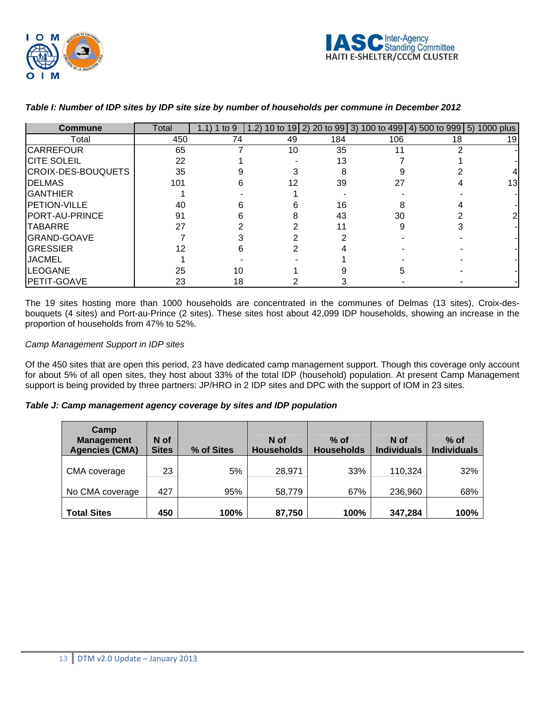

| Commune               | Total | 1.1) 1 to 9 |    |     | 1.2) 10 to 19 2) 20 to 99 3) 100 to 499 4) 500 to 999 5) 1000 plus |    |    |
|-----------------------|-------|-------------|----|-----|--------------------------------------------------------------------|----|----|
| Total                 | 450   | 74          | 49 | 184 | 106                                                                | 18 | 19 |
| <b>CARREFOUR</b>      | 65    |             | 10 | 35  |                                                                    |    |    |
| <b>CITE SOLEIL</b>    | 22    |             |    | 13  |                                                                    |    |    |
| CROIX-DES-BOUQUETS    | 35    |             |    | 8   |                                                                    |    |    |
| <b>IDELMAS</b>        | 101   |             | 12 | 39  | 27                                                                 |    | 13 |
| <b>GANTHIER</b>       |       |             |    |     |                                                                    |    |    |
| <b>PETION-VILLE</b>   | 40    |             |    | 16  |                                                                    |    |    |
| <b>PORT-AU-PRINCE</b> | 91    |             |    | 43  | 30                                                                 |    |    |
| <b>TABARRE</b>        | 27    |             |    |     |                                                                    |    |    |
| <b>GRAND-GOAVE</b>    |       |             |    |     |                                                                    |    |    |
| GRESSIER              |       |             |    |     |                                                                    |    |    |
| <b>JACMEL</b>         |       |             |    |     |                                                                    |    |    |
| <b>LEOGANE</b>        | 25    | 10          |    |     |                                                                    |    |    |
| <b>PETIT-GOAVE</b>    | 23    | 18          |    |     |                                                                    |    |    |

# *Table I: Number of IDP sites by IDP site size by number of households per commune in December 2012*

The 19 sites hosting more than 1000 households are concentrated in the communes of Delmas (13 sites), Croix-desbouquets (4 sites) and Port-au-Prince (2 sites). These sites host about 42,099 IDP households, showing an increase in the proportion of households from 47% to 52%.

# *Camp Management Support in IDP sites*

Of the 450 sites that are open this period, 23 have dedicated camp management support. Though this coverage only account for about 5% of all open sites, they host about 33% of the total IDP (household) population. At present Camp Management support is being provided by three partners: JP/HRO in 2 IDP sites and DPC with the support of IOM in 23 sites.

# *Table J: Camp management agency coverage by sites and IDP population*

| Camp<br><b>Management</b><br><b>Agencies (CMA)</b> | N of<br><b>Sites</b> | % of Sites | N of<br><b>Households</b> | $%$ of<br><b>Households</b> | N of<br><b>Individuals</b> | $%$ of<br><b>Individuals</b> |
|----------------------------------------------------|----------------------|------------|---------------------------|-----------------------------|----------------------------|------------------------------|
| CMA coverage                                       | 23                   | 5%         | 28,971                    | 33%                         | 110,324                    | 32%                          |
| No CMA coverage                                    | 427                  | 95%        | 58,779                    | 67%                         | 236,960                    | 68%                          |
| <b>Total Sites</b>                                 | 450                  | 100%       | 87,750                    | 100%                        | 347,284                    | 100%                         |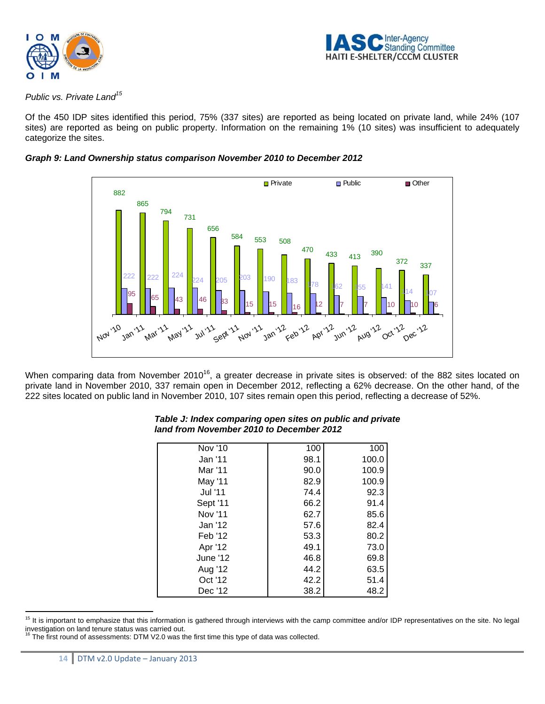



*Public vs. Private Land15*

Of the 450 IDP sites identified this period, 75% (337 sites) are reported as being located on private land, while 24% (107 sites) are reported as being on public property. Information on the remaining 1% (10 sites) was insufficient to adequately categorize the sites.





When comparing data from November 2010<sup>16</sup>, a greater decrease in private sites is observed: of the 882 sites located on private land in November 2010, 337 remain open in December 2012, reflecting a 62% decrease. On the other hand, of the 222 sites located on public land in November 2010, 107 sites remain open this period, reflecting a decrease of 52%.

| Nov '10  | 100  | 100   |
|----------|------|-------|
| Jan '11  | 98.1 | 100.0 |
| Mar '11  | 90.0 | 100.9 |
| May '11  | 82.9 | 100.9 |
| Jul '11  | 74.4 | 92.3  |
| Sept '11 | 66.2 | 91.4  |
| Nov '11  | 62.7 | 85.6  |
| Jan '12  | 57.6 | 82.4  |
| Feb '12  | 53.3 | 80.2  |
| Apr '12  | 49.1 | 73.0  |
| June '12 | 46.8 | 69.8  |
| Aug '12  | 44.2 | 63.5  |
| Oct '12  | 42.2 | 51.4  |
| Dec '12  | 38.2 | 48.2  |

# *Table J: Index comparing open sites on public and private land from November 2010 to December 2012*

 $\overline{a}$ <sup>15</sup> It is important to emphasize that this information is gathered through interviews with the camp committee and/or IDP representatives on the site. No legal investigation on land tenure status was carried out.

<sup>&</sup>lt;sup>16</sup> The first round of assessments: DTM V2.0 was the first time this type of data was collected.